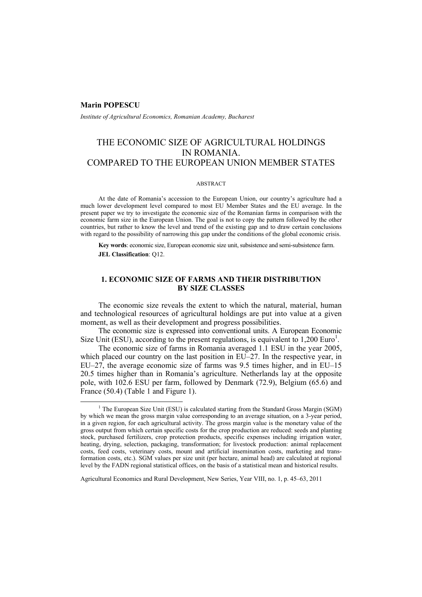### **Marin POPESCU**

*Institute of Agricultural Economics, Romanian Academy, Bucharest* 

# THE ECONOMIC SIZE OF AGRICULTURAL HOLDINGS IN ROMANIA. COMPARED TO THE EUROPEAN UNION MEMBER STATES

### ABSTRACT

At the date of Romania's accession to the European Union, our country's agriculture had a much lower development level compared to most EU Member States and the EU average. In the present paper we try to investigate the economic size of the Romanian farms in comparison with the economic farm size in the European Union. The goal is not to copy the pattern followed by the other countries, but rather to know the level and trend of the existing gap and to draw certain conclusions with regard to the possibility of narrowing this gap under the conditions of the global economic crisis.

**Key words**: economic size, European economic size unit, subsistence and semi-subsistence farm. **JEL Classification**: Q12.

# **1. ECONOMIC SIZE OF FARMS AND THEIR DISTRIBUTION BY SIZE CLASSES**

The economic size reveals the extent to which the natural, material, human and technological resources of agricultural holdings are put into value at a given moment, as well as their development and progress possibilities.

The economic size is expressed into conventional units. A European Economic Size Unit (ESU), according to the present regulations, is equivalent to  $1,200$  Euro<sup>1</sup>.

The economic size of farms in Romania averaged 1.1 ESU in the year 2005, which placed our country on the last position in EU–27. In the respective year, in EU–27, the average economic size of farms was 9.5 times higher, and in EU–15 20.5 times higher than in Romania's agriculture. Netherlands lay at the opposite pole, with 102.6 ESU per farm, followed by Denmark (72.9), Belgium (65.6) and France (50.4) (Table 1 and Figure 1).

<sup>&</sup>lt;u>1</u>  $1$  The European Size Unit (ESU) is calculated starting from the Standard Gross Margin (SGM) by which we mean the gross margin value corresponding to an average situation, on a 3-year period, in a given region, for each agricultural activity. The gross margin value is the monetary value of the gross output from which certain specific costs for the crop production are reduced: seeds and planting stock, purchased fertilizers, crop protection products, specific expenses including irrigation water, heating, drying, selection, packaging, transformation; for livestock production: animal replacement costs, feed costs, veterinary costs, mount and artificial insemination costs, marketing and transformation costs, etc.). SGM values per size unit (per hectare, animal head) are calculated at regional level by the FADN regional statistical offices, on the basis of a statistical mean and historical results.

Agricultural Economics and Rural Development, New Series, Year VIII, no. 1, p. 45–63, 2011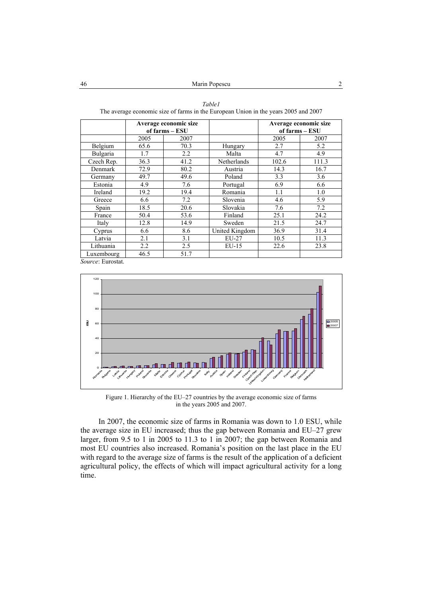|            | The average economic size of farms in the European Omon in the years 2009 and 2007 |                                         |                |       |                                         |  |  |  |  |  |
|------------|------------------------------------------------------------------------------------|-----------------------------------------|----------------|-------|-----------------------------------------|--|--|--|--|--|
|            |                                                                                    | Average economic size<br>of farms – ESU |                |       | Average economic size<br>of farms – ESU |  |  |  |  |  |
|            | 2005                                                                               | 2007                                    |                | 2005  | 2007                                    |  |  |  |  |  |
| Belgium    | 65.6                                                                               | 70.3                                    | Hungary        | 2.7   | 5.2                                     |  |  |  |  |  |
| Bulgaria   | 1.7                                                                                | 2.2                                     | Malta          | 4.7   | 4.9                                     |  |  |  |  |  |
| Czech Rep. | 36.3                                                                               | 41.2                                    | Netherlands    | 102.6 | 111.3                                   |  |  |  |  |  |
| Denmark    | 72.9                                                                               | 80.2                                    | Austria        | 14.3  | 16.7                                    |  |  |  |  |  |
| Germany    | 49.7                                                                               | 49.6                                    | Poland         | 3.3   | 3.6                                     |  |  |  |  |  |
| Estonia    | 4.9                                                                                | 7.6                                     | Portugal       | 6.9   | 6.6                                     |  |  |  |  |  |
| Ireland    | 19.2                                                                               | 19.4                                    | Romania        | 1.1   | 1.0                                     |  |  |  |  |  |
| Greece     | 6.6                                                                                | 7.2                                     | Slovenia       | 4.6   | 5.9                                     |  |  |  |  |  |
| Spain      | 18.5                                                                               | 20.6                                    | Slovakia       | 7.6   | 7.2                                     |  |  |  |  |  |
| France     | 50.4                                                                               | 53.6                                    | Finland        | 25.1  | 24.2                                    |  |  |  |  |  |
| Italy      | 12.8                                                                               | 14.9                                    | Sweden         | 21.5  | 24.7                                    |  |  |  |  |  |
| Cyprus     | 6.6                                                                                | 8.6                                     | United Kingdom | 36.9  | 31.4                                    |  |  |  |  |  |
| Latvia     | 2.1                                                                                | 3.1                                     | EU-27          | 10.5  | 11.3                                    |  |  |  |  |  |
| Lithuania  | $2.2\,$                                                                            | 2.5                                     | $EU-15$        | 22.6  | 23.8                                    |  |  |  |  |  |
| Luxembourg | 46.5                                                                               | 51.7                                    |                |       |                                         |  |  |  |  |  |

*Table1*  of farms in the European Union in the years  $2005$  and  $2007$ 

*Source*: Eurostat.



Figure 1. Hierarchy of the EU–27 countries by the average economic size of farms in the years 2005 and 2007.

In 2007, the economic size of farms in Romania was down to 1.0 ESU, while the average size in EU increased; thus the gap between Romania and EU–27 grew larger, from 9.5 to 1 in 2005 to 11.3 to 1 in 2007; the gap between Romania and most EU countries also increased. Romania's position on the last place in the EU with regard to the average size of farms is the result of the application of a deficient agricultural policy, the effects of which will impact agricultural activity for a long time.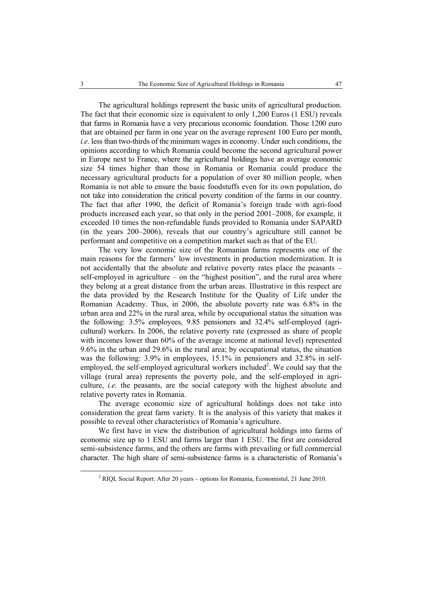The agricultural holdings represent the basic units of agricultural production. The fact that their economic size is equivalent to only 1,200 Euros (1 ESU) reveals that farms in Romania have a very precarious economic foundation. Those 1200 euro that are obtained per farm in one year on the average represent 100 Euro per month, *i.e*. less than two-thirds of the minimum wages in economy. Under such conditions, the opinions according to which Romania could become the second agricultural power in Europe next to France, where the agricultural holdings have an average economic size 54 times higher than those in Romania or Romania could produce the necessary agricultural products for a population of over 80 million people, when Romania is not able to ensure the basic foodstuffs even for its own population, do not take into consideration the critical poverty condition of the farms in our country. The fact that after 1990, the deficit of Romania's foreign trade with agri-food products increased each year, so that only in the period 2001–2008, for example, it exceeded 10 times the non-refundable funds provided to Romania under SAPARD (in the years 200–2006), reveals that our country's agriculture still cannot be performant and competitive on a competition market such as that of the EU.

The very low economic size of the Romanian farms represents one of the main reasons for the farmers' low investments in production modernization. It is not accidentally that the absolute and relative poverty rates place the peasants – self-employed in agriculture – on the "highest position", and the rural area where they belong at a great distance from the urban areas. Illustrative in this respect are the data provided by the Research Institute for the Quality of Life under the Romanian Academy. Thus, in 2006, the absolute poverty rate was 6.8% in the urban area and 22% in the rural area, while by occupational status the situation was the following: 3.5% employees, 9.85 pensioners and 32.4% self-employed (agricultural) workers. In 2006, the relative poverty rate (expressed as share of people with incomes lower than 60% of the average income at national level) represented 9.6% in the urban and 29.6% in the rural area; by occupational status, the situation was the following: 3.9% in employees, 15.1% in pensioners and 32.8% in selfemployed, the self-employed agricultural workers included<sup>2</sup>. We could say that the village (rural area) represents the poverty pole, and the self-employed in agriculture, *i.e.* the peasants, are the social category with the highest absolute and relative poverty rates in Romania.

The average economic size of agricultural holdings does not take into consideration the great farm variety. It is the analysis of this variety that makes it possible to reveal other characteristics of Romania's agriculture.

We first have in view the distribution of agricultural holdings into farms of economic size up to 1 ESU and farms larger than 1 ESU. The first are considered semi-subsistence farms, and the others are farms with prevailing or full commercial character. The high share of semi-subsistence farms is a characteristic of Romania's

 <sup>2</sup> RIQL Social Report: After 20 years – options for Romania, Economistul, 21 June 2010.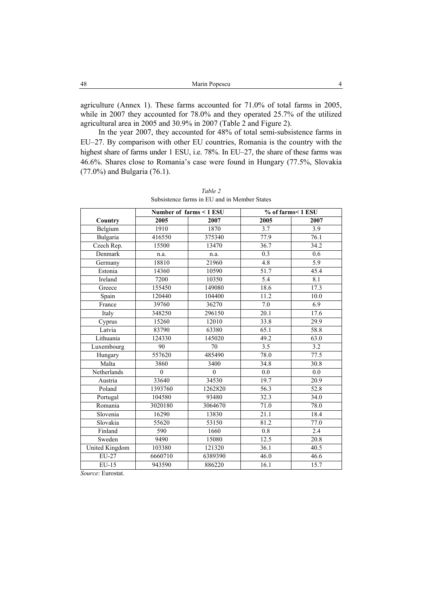| 48<br>Marin Popescu |  |
|---------------------|--|
|---------------------|--|

agriculture (Annex 1). These farms accounted for 71.0% of total farms in 2005, while in 2007 they accounted for 78.0% and they operated 25.7% of the utilized agricultural area in 2005 and 30.9% in 2007 (Table 2 and Figure 2).

In the year 2007, they accounted for 48% of total semi-subsistence farms in EU–27. By comparison with other EU countries, Romania is the country with the highest share of farms under 1 ESU, i.e. 78%. In EU–27, the share of these farms was 46.6%. Shares close to Romania's case were found in Hungary (77.5%, Slovakia (77.0%) and Bulgaria (76.1).

|                |          | Number of farms < 1 ESU | % of farms< 1 ESU |                   |  |  |
|----------------|----------|-------------------------|-------------------|-------------------|--|--|
| Country        | 2005     | 2007                    | 2005              | 2007              |  |  |
| Belgium        | 1910     | 1870                    | 3.7               | 3.9               |  |  |
| Bulgaria       | 416550   | 375340                  | $\overline{77.9}$ | 76.1              |  |  |
| Czech Rep.     | 15500    | 13470                   | 36.7              | 34.2              |  |  |
| Denmark        | n.a.     | n.a.                    | 0.3               | 0.6               |  |  |
| Germany        | 18810    | 21960                   | 4.8               | $\overline{5.9}$  |  |  |
| Estonia        | 14360    | 10590                   | $\overline{51}.7$ | 45.4              |  |  |
| Ireland        | 7200     | 10350                   | 5.4               | 8.1               |  |  |
| Greece         | 155450   | 149080                  | 18.6              | 17.3              |  |  |
| Spain          | 120440   | 104400                  | 11.2              | $\overline{10.0}$ |  |  |
| France         | 39760    | 36270                   | 7.0               | 6.9               |  |  |
| Italy          | 348250   | 296150                  | 20.1              | 17.6              |  |  |
| Cyprus         | 15260    | 12010                   | 33.8              | 29.9              |  |  |
| Latvia         | 83790    | 63380                   | 65.1              | 58.8              |  |  |
| Lithuania      | 124330   | 145020                  | 49.2              | 63.0              |  |  |
| Luxembourg     | 90       | 70                      | 3.5               | 3.2               |  |  |
| Hungary        | 557620   | 485490                  | 78.0              | 77.5              |  |  |
| Malta          | 3860     | 3400                    | 34.8              | 30.8              |  |  |
| Netherlands    | $\theta$ | $\theta$                | 0.0               | 0.0               |  |  |
| Austria        | 33640    | 34530                   | 19.7              | $\overline{20.9}$ |  |  |
| Poland         | 1393760  | 1262820                 | 56.3              | 52.8              |  |  |
| Portugal       | 104580   | 93480                   | 32.3              | 34.0              |  |  |
| Romania        | 3020180  | 3064670                 | 71.0              | 78.0              |  |  |
| Slovenia       | 16290    | 13830                   | 21.1              | 18.4              |  |  |
| Slovakia       | 55620    | 53150                   | 81.2              | 77.0              |  |  |
| Finland        | 590      | 1660                    | 0.8               | 2.4               |  |  |
| Sweden         | 9490     | 15080                   | 12.5              | 20.8              |  |  |
| United Kingdom | 103380   | 121320                  | 36.1              | 40.5              |  |  |
| EU-27          | 6660710  | 6389390                 | 46.0              | 46.6              |  |  |
| $EU-15$        | 943590   | 886220                  | 16.1              | 15.7              |  |  |

*Table 2*  Subsistence farms in EU and in Member States

*Source*: Eurostat.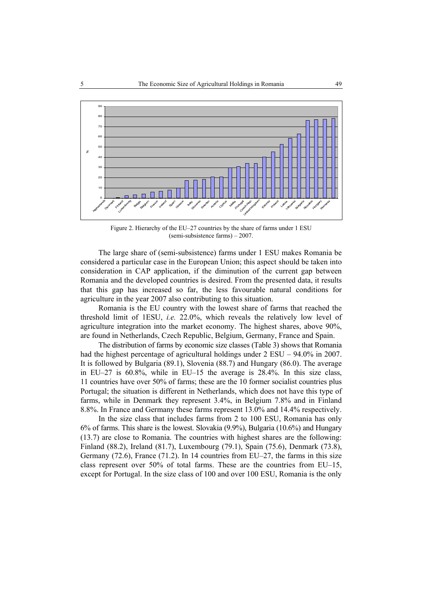

Figure 2. Hierarchy of the EU–27 countries by the share of farms under 1 ESU (semi-subsistence farms) – 2007.

The large share of (semi-subsistence) farms under 1 ESU makes Romania be considered a particular case in the European Union; this aspect should be taken into consideration in CAP application, if the diminution of the current gap between Romania and the developed countries is desired. From the presented data, it results that this gap has increased so far, the less favourable natural conditions for agriculture in the year 2007 also contributing to this situation.

Romania is the EU country with the lowest share of farms that reached the threshold limit of 1ESU, *i.e.* 22.0%, which reveals the relatively low level of agriculture integration into the market economy. The highest shares, above 90%, are found in Netherlands, Czech Republic, Belgium, Germany, France and Spain.

The distribution of farms by economic size classes (Table 3) shows that Romania had the highest percentage of agricultural holdings under  $2$  ESU – 94.0% in 2007. It is followed by Bulgaria (89.1), Slovenia (88.7) and Hungary (86.0). The average in EU–27 is 60.8%, while in EU–15 the average is 28.4%. In this size class, 11 countries have over 50% of farms; these are the 10 former socialist countries plus Portugal; the situation is different in Netherlands, which does not have this type of farms, while in Denmark they represent 3.4%, in Belgium 7.8% and in Finland 8.8%. In France and Germany these farms represent 13.0% and 14.4% respectively.

In the size class that includes farms from 2 to 100 ESU, Romania has only 6% of farms. This share is the lowest. Slovakia (9.9%), Bulgaria (10.6%) and Hungary (13.7) are close to Romania. The countries with highest shares are the following: Finland (88.2), Ireland (81.7), Luxembourg (79.1), Spain (75.6), Denmark (73.8), Germany  $(72.6)$ , France  $(71.2)$ . In 14 countries from EU–27, the farms in this size class represent over 50% of total farms. These are the countries from EU–15, except for Portugal. In the size class of 100 and over 100 ESU, Romania is the only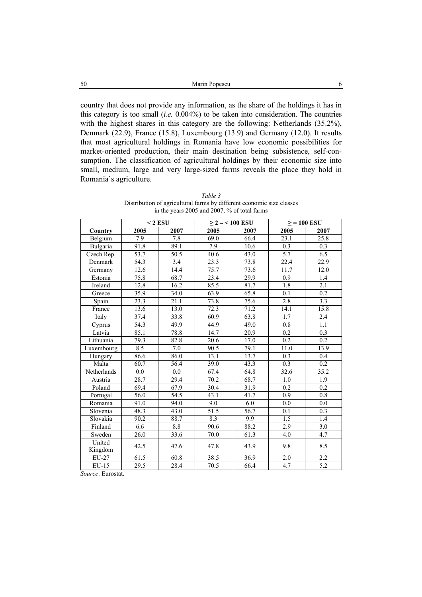country that does not provide any information, as the share of the holdings it has in this category is too small (*i.e.* 0.004%) to be taken into consideration. The countries with the highest shares in this category are the following: Netherlands (35.2%), Denmark (22.9), France (15.8), Luxembourg (13.9) and Germany (12.0). It results that most agricultural holdings in Romania have low economic possibilities for market-oriented production, their main destination being subsistence, self-consumption. The classification of agricultural holdings by their economic size into small, medium, large and very large-sized farms reveals the place they hold in Romania's agriculture.

|                   |                   | $<$ 2 ESU         |      | $\geq$ 2 - < 100 ESU | $>$ = 100 ESU     |                  |  |
|-------------------|-------------------|-------------------|------|----------------------|-------------------|------------------|--|
| Country           | 2005              | 2007              | 2005 | 2007                 | 2005              | 2007             |  |
| Belgium           | 7.9               | 7.8               | 69.0 | 66.4                 | 23.1              | 25.8             |  |
| Bulgaria          | 91.8              | 89.1              | 7.9  | 10.6                 | 0.3               | 0.3              |  |
| Czech Rep.        | $\overline{53.7}$ | $\overline{50.5}$ | 40.6 | 43.0                 | 5.7               | 6.5              |  |
| Denmark           | 54.3              | 3.4               | 23.3 | 73.8                 | 22.4              | 22.9             |  |
| Germany           | 12.6              | 14.4              | 75.7 | 73.6                 | 11.7              | 12.0             |  |
| Estonia           | 75.8              | 68.7              | 23.4 | 29.9                 | 0.9               | 1.4              |  |
| Ireland           | 12.8              | 16.2              | 85.5 | 81.7                 | 1.8               | 2.1              |  |
| Greece            | 35.9              | 34.0              | 63.9 | 65.8                 | 0.1               | 0.2              |  |
| Spain             | 23.3              | 21.1              | 73.8 | 75.6                 | 2.8               | $\overline{3.3}$ |  |
| France            | 13.6              | 13.0              | 72.3 | 71.2                 | 14.1              | 15.8             |  |
| Italy             | 37.4              | 33.8              | 60.9 | 63.8                 | 1.7               | 2.4              |  |
| Cyprus            | 54.3              | 49.9              | 44.9 | 49.0                 | 0.8               | 1.1              |  |
| Latvia            | 85.1              | 78.8              | 14.7 | 20.9                 | $\overline{0.2}$  | 0.3              |  |
| Lithuania         | 79.3              | 82.8              | 20.6 | 17.0                 | 0.2               | 0.2              |  |
| Luxembourg        | 8.5               | 7.0               | 90.5 | 79.1                 | $11.\overline{0}$ | 13.9             |  |
| Hungary           | 86.6              | 86.0              | 13.1 | 13.7                 | $\overline{0.3}$  | 0.4              |  |
| Malta             | 60.7              | 56.4              | 39.0 | 43.3                 | 0.3               | $\overline{0.2}$ |  |
| Netherlands       | 0.0               | 0.0               | 67.4 | 64.8                 | 32.6              | 35.2             |  |
| Austria           | 28.7              | 29.4              | 70.2 | 68.7                 | 1.0               | 1.9              |  |
| Poland            | 69.4              | 67.9              | 30.4 | 31.9                 | 0.2               | 0.2              |  |
| Portugal          | 56.0              | 54.5              | 43.1 | 41.7                 | 0.9               | 0.8              |  |
| Romania           | 91.0              | 94.0              | 9.0  | 6.0                  | 0.0               | 0.0              |  |
| Slovenia          | 48.3              | 43.0              | 51.5 | 56.7                 | 0.1               | 0.3              |  |
| Slovakia          | 90.2              | 88.7              | 8.3  | 9.9                  | 1.5               | 1.4              |  |
| Finland           | 6.6               | 8.8               | 90.6 | 88.2                 | 2.9               | 3.0              |  |
| Sweden            | 26.0              | 33.6              | 70.0 | 61.3                 | 4.0               | 4.7              |  |
| United<br>Kingdom | 42.5              | 47.6              | 47.8 | 43.9                 | 9.8               | 8.5              |  |
| EU-27             | 61.5              | 60.8              | 38.5 | 36.9                 | $\overline{2.0}$  | $\overline{2.2}$ |  |
| EU-15             | $\overline{29.5}$ | 28.4              | 70.5 | 66.4                 | $\overline{4.7}$  | 5.2              |  |

*Table 3*  Distribution of agricultural farms by different economic size classes in the years 2005 and 2007, % of total farms

*Source*: Eurostat.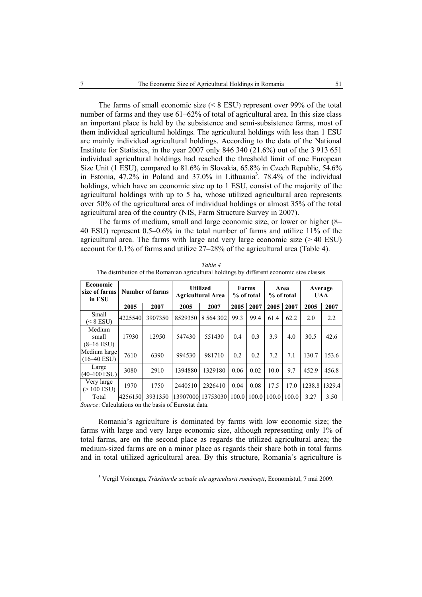The farms of small economic size (< 8 ESU) represent over 99% of the total number of farms and they use 61–62% of total of agricultural area. In this size class an important place is held by the subsistence and semi-subsistence farms, most of them individual agricultural holdings. The agricultural holdings with less than 1 ESU are mainly individual agricultural holdings. According to the data of the National Institute for Statistics, in the year 2007 only 846 340 (21.6%) out of the 3 913 651 individual agricultural holdings had reached the threshold limit of one European Size Unit (1 ESU), compared to 81.6% in Slovakia, 65.8% in Czech Republic, 54.6% in Estonia, 47.2% in Poland and 37.0% in Lithuania<sup>3</sup>. 78.4% of the individual holdings, which have an economic size up to 1 ESU, consist of the majority of the agricultural holdings with up to 5 ha, whose utilized agricultural area represents over 50% of the agricultural area of individual holdings or almost 35% of the total agricultural area of the country (NIS, Farm Structure Survey in 2007).

The farms of medium, small and large economic size, or lower or higher (8– 40 ESU) represent 0.5–0.6% in the total number of farms and utilize 11% of the agricultural area. The farms with large and very large economic size  $(>40$  ESU) account for 0.1% of farms and utilize 27–28% of the agricultural area (Table 4).

| <b>Economic</b><br>size of farms<br>in ESU | Number of farms |         | <b>Utilized</b><br><b>Agricultural Area</b> |               | Farms<br>% of total |       | Area<br>% of total |               | Average<br><b>UAA</b> |        |
|--------------------------------------------|-----------------|---------|---------------------------------------------|---------------|---------------------|-------|--------------------|---------------|-----------------------|--------|
|                                            | 2005            | 2007    | 2005                                        | 2007          | 2005                | 2007  | 2005               | 2007          | 2005                  | 2007   |
| <b>Small</b><br>$(< 8$ ESU)                | 4225540         | 3907350 | 8529350                                     | 8 5 6 4 3 0 2 | 99.3                | 99.4  | 61.4               | 62.2          | 2.0                   | 2.2    |
| Medium<br>small<br>$(8-16$ ESU)            | 17930           | 12950   | 547430                                      | 551430        | 0.4                 | 0.3   | 3.9                | 4.0           | 30.5                  | 42.6   |
| Medium large<br>$(16-40$ ESU)              | 7610            | 6390    | 994530                                      | 981710        | 0.2                 | 0.2   | 7.2                | 7.1           | 130.7                 | 153.6  |
| Large<br>$(40-100$ ESU)                    | 3080            | 2910    | 1394880                                     | 1329180       | 0.06                | 0.02  | 10.0               | 9.7           | 452.9                 | 456.8  |
| Very large<br>$(>100$ ESU)                 | 1970            | 1750    | 2440510                                     | 2326410       | 0.04                | 0.08  | 17.5               | 17.0          | 1238.8                | 1329.4 |
| Total                                      | 4256150         | 3931350 | 13907000                                    | 13753030      | 100.0               | 100.0 |                    | $100.0$ 100.0 | 3.27                  | 3.50   |

*Table 4*  The distribution of the Romanian agricultural holdings by different economic size classes

*Source*: Calculations on the basis of Eurostat data.

Romania's agriculture is dominated by farms with low economic size; the farms with large and very large economic size, although representing only 1% of total farms, are on the second place as regards the utilized agricultural area; the medium-sized farms are on a minor place as regards their share both in total farms and in total utilized agricultural area. By this structure, Romania's agriculture is

 <sup>3</sup> Vergil Voineagu, *Trăsăturile actuale ale agriculturii româneşti*, Economistul, 7 mai 2009.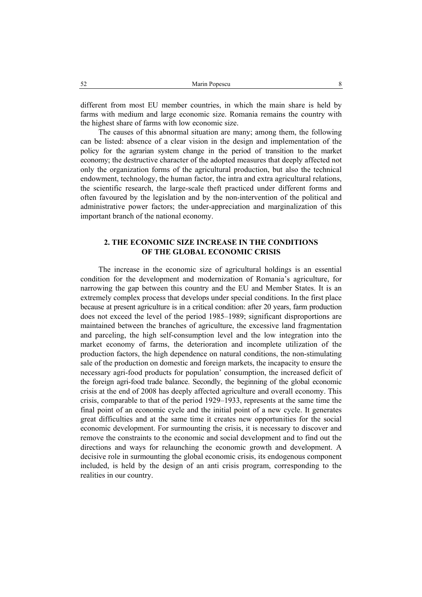different from most EU member countries, in which the main share is held by farms with medium and large economic size. Romania remains the country with the highest share of farms with low economic size.

The causes of this abnormal situation are many; among them, the following can be listed: absence of a clear vision in the design and implementation of the policy for the agrarian system change in the period of transition to the market economy; the destructive character of the adopted measures that deeply affected not only the organization forms of the agricultural production, but also the technical endowment, technology, the human factor, the intra and extra agricultural relations, the scientific research, the large-scale theft practiced under different forms and often favoured by the legislation and by the non-intervention of the political and administrative power factors; the under-appreciation and marginalization of this important branch of the national economy.

# **2. THE ECONOMIC SIZE INCREASE IN THE CONDITIONS OF THE GLOBAL ECONOMIC CRISIS**

The increase in the economic size of agricultural holdings is an essential condition for the development and modernization of Romania's agriculture, for narrowing the gap between this country and the EU and Member States. It is an extremely complex process that develops under special conditions. In the first place because at present agriculture is in a critical condition: after 20 years, farm production does not exceed the level of the period 1985–1989; significant disproportions are maintained between the branches of agriculture, the excessive land fragmentation and parceling, the high self-consumption level and the low integration into the market economy of farms, the deterioration and incomplete utilization of the production factors, the high dependence on natural conditions, the non-stimulating sale of the production on domestic and foreign markets, the incapacity to ensure the necessary agri-food products for population' consumption, the increased deficit of the foreign agri-food trade balance. Secondly, the beginning of the global economic crisis at the end of 2008 has deeply affected agriculture and overall economy. This crisis, comparable to that of the period 1929–1933, represents at the same time the final point of an economic cycle and the initial point of a new cycle. It generates great difficulties and at the same time it creates new opportunities for the social economic development. For surmounting the crisis, it is necessary to discover and remove the constraints to the economic and social development and to find out the directions and ways for relaunching the economic growth and development. A decisive role in surmounting the global economic crisis, its endogenous component included, is held by the design of an anti crisis program, corresponding to the realities in our country.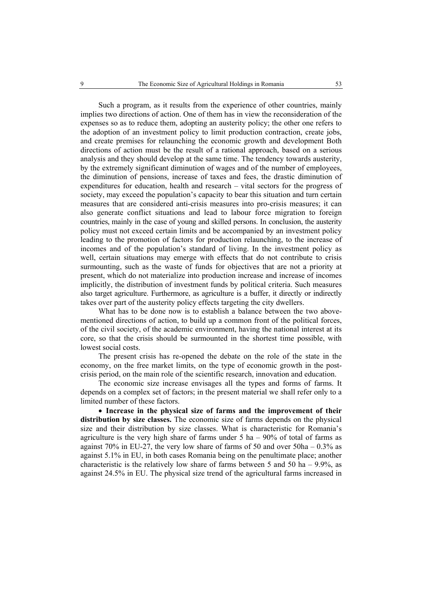Such a program, as it results from the experience of other countries, mainly implies two directions of action. One of them has in view the reconsideration of the expenses so as to reduce them, adopting an austerity policy; the other one refers to the adoption of an investment policy to limit production contraction, create jobs, and create premises for relaunching the economic growth and development Both directions of action must be the result of a rational approach, based on a serious analysis and they should develop at the same time. The tendency towards austerity, by the extremely significant diminution of wages and of the number of employees, the diminution of pensions, increase of taxes and fees, the drastic diminution of expenditures for education, health and research – vital sectors for the progress of society, may exceed the population's capacity to bear this situation and turn certain measures that are considered anti-crisis measures into pro-crisis measures; it can also generate conflict situations and lead to labour force migration to foreign countries, mainly in the case of young and skilled persons. In conclusion, the austerity policy must not exceed certain limits and be accompanied by an investment policy leading to the promotion of factors for production relaunching, to the increase of incomes and of the population's standard of living. In the investment policy as well, certain situations may emerge with effects that do not contribute to crisis surmounting, such as the waste of funds for objectives that are not a priority at present, which do not materialize into production increase and increase of incomes implicitly, the distribution of investment funds by political criteria. Such measures also target agriculture. Furthermore, as agriculture is a buffer, it directly or indirectly takes over part of the austerity policy effects targeting the city dwellers.

What has to be done now is to establish a balance between the two abovementioned directions of action, to build up a common front of the political forces, of the civil society, of the academic environment, having the national interest at its core, so that the crisis should be surmounted in the shortest time possible, with lowest social costs.

The present crisis has re-opened the debate on the role of the state in the economy, on the free market limits, on the type of economic growth in the postcrisis period, on the main role of the scientific research, innovation and education.

The economic size increase envisages all the types and forms of farms. It depends on a complex set of factors; in the present material we shall refer only to a limited number of these factors.

• **Increase in the physical size of farms and the improvement of their distribution by size classes.** The economic size of farms depends on the physical size and their distribution by size classes. What is characteristic for Romania's agriculture is the very high share of farms under  $5$  ha  $-90\%$  of total of farms as against  $70\%$  in EU-27, the very low share of farms of 50 and over  $50ha - 0.3\%$  as against 5.1% in EU, in both cases Romania being on the penultimate place; another characteristic is the relatively low share of farms between 5 and 50 ha  $-$  9.9%, as against 24.5% in EU. The physical size trend of the agricultural farms increased in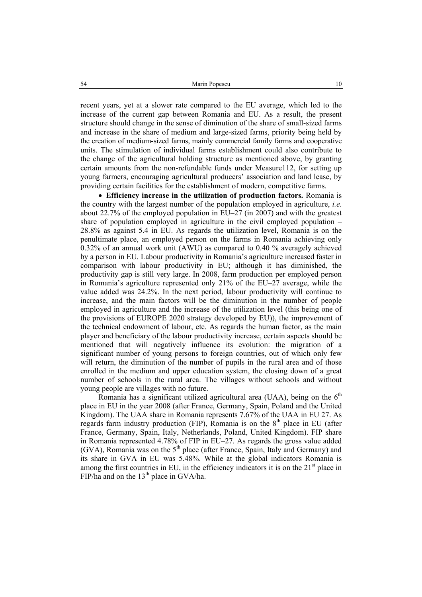recent years, yet at a slower rate compared to the EU average, which led to the increase of the current gap between Romania and EU. As a result, the present structure should change in the sense of diminution of the share of small-sized farms and increase in the share of medium and large-sized farms, priority being held by the creation of medium-sized farms, mainly commercial family farms and cooperative units. The stimulation of individual farms establishment could also contribute to the change of the agricultural holding structure as mentioned above, by granting certain amounts from the non-refundable funds under Measure112, for setting up young farmers, encouraging agricultural producers' association and land lease, by providing certain facilities for the establishment of modern, competitive farms.

• **Efficiency increase in the utilization of production factors.** Romania is the country with the largest number of the population employed in agriculture, *i.e*. about 22.7% of the employed population in EU–27 (in 2007) and with the greatest share of population employed in agriculture in the civil employed population – 28.8% as against 5.4 in EU. As regards the utilization level, Romania is on the penultimate place, an employed person on the farms in Romania achieving only 0.32% of an annual work unit (AWU) as compared to 0.40 % averagely achieved by a person in EU. Labour productivity in Romania's agriculture increased faster in comparison with labour productivity in EU; although it has diminished, the productivity gap is still very large. In 2008, farm production per employed person in Romania's agriculture represented only 21% of the EU–27 average, while the value added was 24.2%. In the next period, labour productivity will continue to increase, and the main factors will be the diminution in the number of people employed in agriculture and the increase of the utilization level (this being one of the provisions of EUROPE 2020 strategy developed by EU)), the improvement of the technical endowment of labour, etc. As regards the human factor, as the main player and beneficiary of the labour productivity increase, certain aspects should be mentioned that will negatively influence its evolution: the migration of a significant number of young persons to foreign countries, out of which only few will return, the diminution of the number of pupils in the rural area and of those enrolled in the medium and upper education system, the closing down of a great number of schools in the rural area. The villages without schools and without young people are villages with no future.

Romania has a significant utilized agricultural area (UAA), being on the  $6<sup>th</sup>$ place in EU in the year 2008 (after France, Germany, Spain, Poland and the United Kingdom). The UAA share in Romania represents 7.67% of the UAA in EU 27. As regards farm industry production (FIP), Romania is on the  $8<sup>th</sup>$  place in EU (after France, Germany, Spain, Italy, Netherlands, Poland, United Kingdom). FIP share in Romania represented 4.78% of FIP in EU–27. As regards the gross value added (GVA), Romania was on the 5th place (after France, Spain, Italy and Germany) and its share in GVA in EU was 5.48%. While at the global indicators Romania is among the first countries in EU, in the efficiency indicators it is on the  $21<sup>st</sup>$  place in FIP/ha and on the  $13<sup>th</sup>$  place in GVA/ha.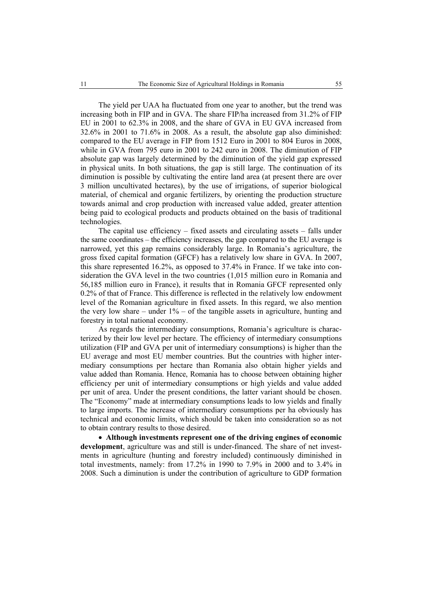The yield per UAA ha fluctuated from one year to another, but the trend was increasing both in FIP and in GVA. The share FIP/ha increased from 31.2% of FIP EU in 2001 to 62.3% in 2008, and the share of GVA in EU GVA increased from 32.6% in 2001 to 71.6% in 2008. As a result, the absolute gap also diminished: compared to the EU average in FIP from 1512 Euro in 2001 to 804 Euros in 2008, while in GVA from 795 euro in 2001 to 242 euro in 2008. The diminution of FIP absolute gap was largely determined by the diminution of the yield gap expressed in physical units. In both situations, the gap is still large. The continuation of its diminution is possible by cultivating the entire land area (at present there are over 3 million uncultivated hectares), by the use of irrigations, of superior biological material, of chemical and organic fertilizers, by orienting the production structure towards animal and crop production with increased value added, greater attention being paid to ecological products and products obtained on the basis of traditional technologies.

The capital use efficiency – fixed assets and circulating assets – falls under the same coordinates – the efficiency increases, the gap compared to the EU average is narrowed, yet this gap remains considerably large. In Romania's agriculture, the gross fixed capital formation (GFCF) has a relatively low share in GVA. In 2007, this share represented 16.2%, as opposed to 37.4% in France. If we take into consideration the GVA level in the two countries (1,015 million euro in Romania and 56,185 million euro in France), it results that in Romania GFCF represented only 0.2% of that of France. This difference is reflected in the relatively low endowment level of the Romanian agriculture in fixed assets. In this regard, we also mention the very low share – under  $1\%$  – of the tangible assets in agriculture, hunting and forestry in total national economy.

As regards the intermediary consumptions, Romania's agriculture is characterized by their low level per hectare. The efficiency of intermediary consumptions utilization (FIP and GVA per unit of intermediary consumptions) is higher than the EU average and most EU member countries. But the countries with higher intermediary consumptions per hectare than Romania also obtain higher yields and value added than Romania. Hence, Romania has to choose between obtaining higher efficiency per unit of intermediary consumptions or high yields and value added per unit of area. Under the present conditions, the latter variant should be chosen. The "Economy" made at intermediary consumptions leads to low yields and finally to large imports. The increase of intermediary consumptions per ha obviously has technical and economic limits, which should be taken into consideration so as not to obtain contrary results to those desired.

• **Although investments represent one of the driving engines of economic development**, agriculture was and still is under-financed. The share of net investments in agriculture (hunting and forestry included) continuously diminished in total investments, namely: from 17.2% in 1990 to 7.9% in 2000 and to 3.4% in 2008. Such a diminution is under the contribution of agriculture to GDP formation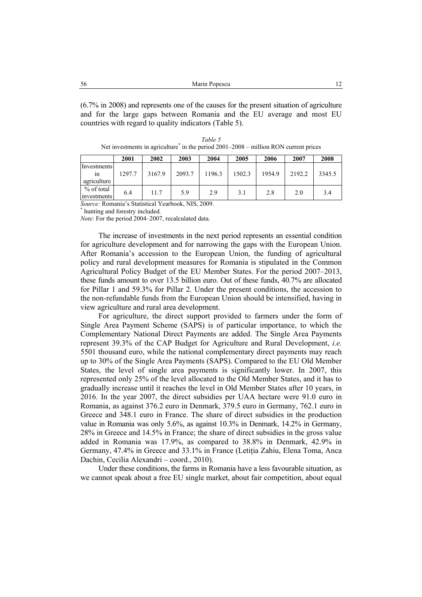(6.7% in 2008) and represents one of the causes for the present situation of agriculture and for the large gaps between Romania and the EU average and most EU countries with regard to quality indicators (Table 5).

| Table 5                                                                                 |
|-----------------------------------------------------------------------------------------|
| Net investments in agriculture $*$ in the period 2001–2008 – million RON current prices |

|                                  | 2001   | 2002   | 2003   | 2004   | 2005   | 2006   | 2007   | 2008   |
|----------------------------------|--------|--------|--------|--------|--------|--------|--------|--------|
| Investments<br>ın<br>agriculture | 1297.7 | 3167.9 | 2093.7 | 1196.3 | 1502.3 | 1954.9 | 2192.2 | 3345.5 |
| % of total<br>investments        | 6.4    | 11.7   | 5.9    | 2.9    | 3.1    | 2.8    | 2.0    | 3.4    |

*Source:* Romania's Statistical Yearbook, NIS, 2009. \*

hunting and forestry included.

*Note*: For the period 2004–2007, recalculated data.

The increase of investments in the next period represents an essential condition for agriculture development and for narrowing the gaps with the European Union. After Romania's accession to the European Union, the funding of agricultural policy and rural development measures for Romania is stipulated in the Common Agricultural Policy Budget of the EU Member States. For the period 2007–2013, these funds amount to over 13.5 billion euro. Out of these funds, 40.7% are allocated for Pillar 1 and 59.3% for Pillar 2. Under the present conditions, the accession to the non-refundable funds from the European Union should be intensified, having in view agriculture and rural area development.

For agriculture, the direct support provided to farmers under the form of Single Area Payment Scheme (SAPS) is of particular importance, to which the Complementary National Direct Payments are added. The Single Area Payments represent 39.3% of the CAP Budget for Agriculture and Rural Development, *i.e.* 5501 thousand euro, while the national complementary direct payments may reach up to 30% of the Single Area Payments (SAPS). Compared to the EU Old Member States, the level of single area payments is significantly lower. In 2007, this represented only 25% of the level allocated to the Old Member States, and it has to gradually increase until it reaches the level in Old Member States after 10 years, in 2016. In the year 2007, the direct subsidies per UAA hectare were 91.0 euro in Romania, as against 376.2 euro in Denmark, 379.5 euro in Germany, 762.1 euro in Greece and 348.1 euro in France. The share of direct subsidies in the production value in Romania was only 5.6%, as against 10.3% in Denmark, 14.2% in Germany, 28% in Greece and 14.5% in France; the share of direct subsidies in the gross value added in Romania was 17.9%, as compared to 38.8% in Denmark, 42.9% in Germany, 47.4% in Greece and 33.1% in France (Letiţia Zahiu, Elena Toma, Anca Dachin, Cecilia Alexandri – coord., 2010).

Under these conditions, the farms in Romania have a less favourable situation, as we cannot speak about a free EU single market, about fair competition, about equal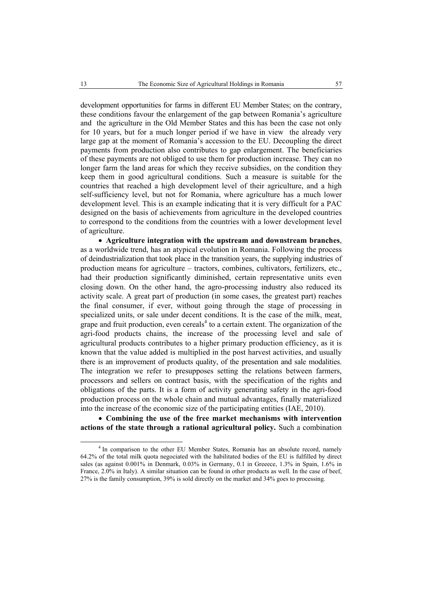development opportunities for farms in different EU Member States; on the contrary, these conditions favour the enlargement of the gap between Romania's agriculture and the agriculture in the Old Member States and this has been the case not only for 10 years, but for a much longer period if we have in view the already very large gap at the moment of Romania's accession to the EU. Decoupling the direct payments from production also contributes to gap enlargement. The beneficiaries of these payments are not obliged to use them for production increase. They can no longer farm the land areas for which they receive subsidies, on the condition they keep them in good agricultural conditions. Such a measure is suitable for the countries that reached a high development level of their agriculture, and a high self-sufficiency level, but not for Romania, where agriculture has a much lower development level. This is an example indicating that it is very difficult for a PAC designed on the basis of achievements from agriculture in the developed countries to correspond to the conditions from the countries with a lower development level of agriculture.

• **Agriculture integration with the upstream and downstream branches**, as a worldwide trend, has an atypical evolution in Romania. Following the process of deindustrialization that took place in the transition years, the supplying industries of production means for agriculture – tractors, combines, cultivators, fertilizers, etc., had their production significantly diminished, certain representative units even closing down. On the other hand, the agro-processing industry also reduced its activity scale. A great part of production (in some cases, the greatest part) reaches the final consumer, if ever, without going through the stage of processing in specialized units, or sale under decent conditions. It is the case of the milk, meat, grape and fruit production, even cereals<sup>4</sup> to a certain extent. The organization of the agri-food products chains, the increase of the processing level and sale of agricultural products contributes to a higher primary production efficiency, as it is known that the value added is multiplied in the post harvest activities, and usually there is an improvement of products quality, of the presentation and sale modalities. The integration we refer to presupposes setting the relations between farmers, processors and sellers on contract basis, with the specification of the rights and obligations of the parts. It is a form of activity generating safety in the agri-food production process on the whole chain and mutual advantages, finally materialized into the increase of the economic size of the participating entities (IAE, 2010).

• **Combining the use of the free market mechanisms with intervention actions of the state through a rational agricultural policy.** Such a combination

 $\overline{4}$  $<sup>4</sup>$  In comparison to the other EU Member States, Romania has an absolute record, namely</sup> 64.2% of the total milk quota negociated with the habilitated bodies of the EU is fulfilled by direct sales (as against 0.001% in Denmark, 0.03% in Germany, 0.1 in Greeece, 1.3% in Spain, 1.6% in France, 2.0% in Italy). A similar situation can be found in other products as well. In the case of beef, 27% is the family consumption, 39% is sold directly on the market and 34% goes to processing.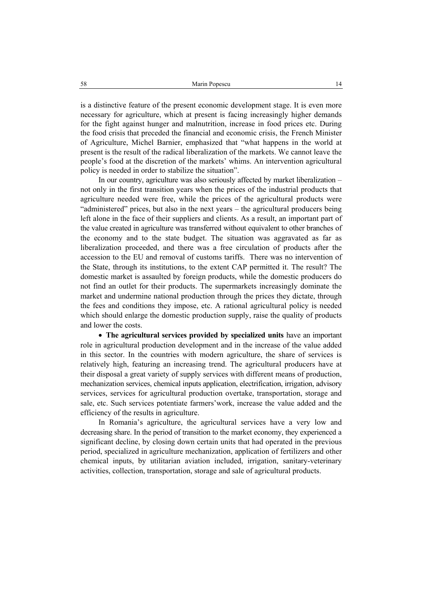is a distinctive feature of the present economic development stage. It is even more necessary for agriculture, which at present is facing increasingly higher demands for the fight against hunger and malnutrition, increase in food prices etc. During the food crisis that preceded the financial and economic crisis, the French Minister of Agriculture, Michel Barnier, emphasized that "what happens in the world at present is the result of the radical liberalization of the markets. We cannot leave the people's food at the discretion of the markets' whims. An intervention agricultural policy is needed in order to stabilize the situation".

In our country, agriculture was also seriously affected by market liberalization – not only in the first transition years when the prices of the industrial products that agriculture needed were free, while the prices of the agricultural products were "administered" prices, but also in the next years – the agricultural producers being left alone in the face of their suppliers and clients. As a result, an important part of the value created in agriculture was transferred without equivalent to other branches of the economy and to the state budget. The situation was aggravated as far as liberalization proceeded, and there was a free circulation of products after the accession to the EU and removal of customs tariffs. There was no intervention of the State, through its institutions, to the extent CAP permitted it. The result? The domestic market is assaulted by foreign products, while the domestic producers do not find an outlet for their products. The supermarkets increasingly dominate the market and undermine national production through the prices they dictate, through the fees and conditions they impose, etc. A rational agricultural policy is needed which should enlarge the domestic production supply, raise the quality of products and lower the costs.

• **The agricultural services provided by specialized units** have an important role in agricultural production development and in the increase of the value added in this sector. In the countries with modern agriculture, the share of services is relatively high, featuring an increasing trend. The agricultural producers have at their disposal a great variety of supply services with different means of production, mechanization services, chemical inputs application, electrification, irrigation, advisory services, services for agricultural production overtake, transportation, storage and sale, etc. Such services potentiate farmers'work, increase the value added and the efficiency of the results in agriculture.

In Romania's agriculture, the agricultural services have a very low and decreasing share. In the period of transition to the market economy, they experienced a significant decline, by closing down certain units that had operated in the previous period, specialized in agriculture mechanization, application of fertilizers and other chemical inputs, by utilitarian aviation included, irrigation, sanitary-veterinary activities, collection, transportation, storage and sale of agricultural products.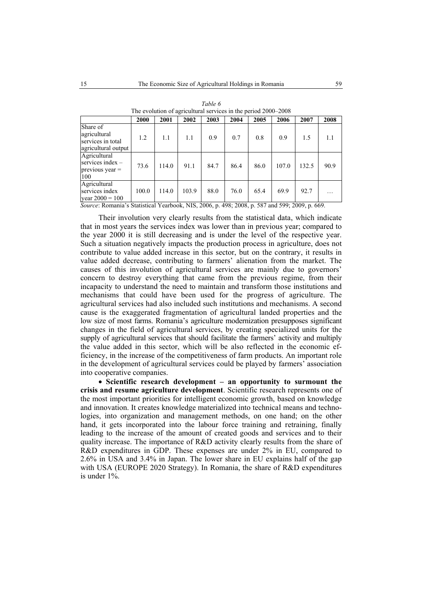| The evolution of agricultural services in the period 2000–2000       |       |       |       |      |      |      |       |       |      |
|----------------------------------------------------------------------|-------|-------|-------|------|------|------|-------|-------|------|
|                                                                      | 2000  | 2001  | 2002  | 2003 | 2004 | 2005 | 2006  | 2007  | 2008 |
| Share of<br>agricultural<br>services in total<br>agricultural output | 1.2   | 1.1   | 1.1   | 0.9  | 0.7  | 0.8  | 0.9   | 1.5   | 1.1  |
| Agricultural<br>services index $-$<br>$previous$ year $=$<br>100     | 73.6  | 114.0 | 91.1  | 84.7 | 86.4 | 86.0 | 107.0 | 132.5 | 90.9 |
| Agricultural<br>services index<br>year $2000 = 100$                  | 100.0 | 114.0 | 103.9 | 88.0 | 76.0 | 65.4 | 69.9  | 92.7  |      |

| Table 6                                                        |
|----------------------------------------------------------------|
| The evolution of agricultural services in the period 2000–2008 |

*Source*: Romania's Statistical Yearbook, NIS, 2006, p. 498; 2008, p. 587 and 599; 2009, p. 669.

Their involution very clearly results from the statistical data, which indicate that in most years the services index was lower than in previous year; compared to the year 2000 it is still decreasing and is under the level of the respective year. Such a situation negatively impacts the production process in agriculture, does not contribute to value added increase in this sector, but on the contrary, it results in value added decrease, contributing to farmers' alienation from the market. The causes of this involution of agricultural services are mainly due to governors' concern to destroy everything that came from the previous regime, from their incapacity to understand the need to maintain and transform those institutions and mechanisms that could have been used for the progress of agriculture. The agricultural services had also included such institutions and mechanisms. A second cause is the exaggerated fragmentation of agricultural landed properties and the low size of most farms. Romania's agriculture modernization presupposes significant changes in the field of agricultural services, by creating specialized units for the supply of agricultural services that should facilitate the farmers' activity and multiply the value added in this sector, which will be also reflected in the economic efficiency, in the increase of the competitiveness of farm products. An important role in the development of agricultural services could be played by farmers' association into cooperative companies.

• **Scientific research development – an opportunity to surmount the crisis and resume agriculture development**. Scientific research represents one of the most important priorities for intelligent economic growth, based on knowledge and innovation. It creates knowledge materialized into technical means and technologies, into organization and management methods, on one hand; on the other hand, it gets incorporated into the labour force training and retraining, finally leading to the increase of the amount of created goods and services and to their quality increase. The importance of R&D activity clearly results from the share of R&D expenditures in GDP. These expenses are under 2% in EU, compared to 2.6% in USA and 3.4% in Japan. The lower share in EU explains half of the gap with USA (EUROPE 2020 Strategy). In Romania, the share of R&D expenditures is under 1%.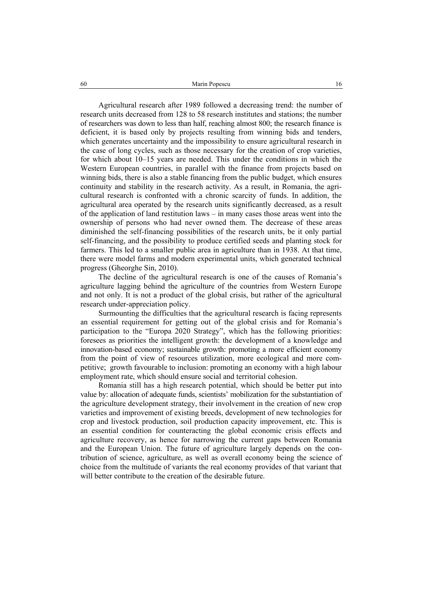Agricultural research after 1989 followed a decreasing trend: the number of research units decreased from 128 to 58 research institutes and stations; the number of researchers was down to less than half, reaching almost 800; the research finance is deficient, it is based only by projects resulting from winning bids and tenders, which generates uncertainty and the impossibility to ensure agricultural research in the case of long cycles, such as those necessary for the creation of crop varieties, for which about 10–15 years are needed. This under the conditions in which the Western European countries, in parallel with the finance from projects based on winning bids, there is also a stable financing from the public budget, which ensures continuity and stability in the research activity. As a result, in Romania, the agricultural research is confronted with a chronic scarcity of funds. In addition, the agricultural area operated by the research units significantly decreased, as a result of the application of land restitution laws – in many cases those areas went into the ownership of persons who had never owned them. The decrease of these areas diminished the self-financing possibilities of the research units, be it only partial self-financing, and the possibility to produce certified seeds and planting stock for farmers. This led to a smaller public area in agriculture than in 1938. At that time, there were model farms and modern experimental units, which generated technical progress (Gheorghe Sin, 2010).

The decline of the agricultural research is one of the causes of Romania's agriculture lagging behind the agriculture of the countries from Western Europe and not only. It is not a product of the global crisis, but rather of the agricultural research under-appreciation policy.

Surmounting the difficulties that the agricultural research is facing represents an essential requirement for getting out of the global crisis and for Romania's participation to the "Europa 2020 Strategy", which has the following priorities: foresees as priorities the intelligent growth: the development of a knowledge and innovation-based economy; sustainable growth: promoting a more efficient economy from the point of view of resources utilization, more ecological and more competitive; growth favourable to inclusion: promoting an economy with a high labour employment rate, which should ensure social and territorial cohesion.

Romania still has a high research potential, which should be better put into value by: allocation of adequate funds, scientists' mobilization for the substantiation of the agriculture development strategy, their involvement in the creation of new crop varieties and improvement of existing breeds, development of new technologies for crop and livestock production, soil production capacity improvement, etc. This is an essential condition for counteracting the global economic crisis effects and agriculture recovery, as hence for narrowing the current gaps between Romania and the European Union. The future of agriculture largely depends on the contribution of science, agriculture, as well as overall economy being the science of choice from the multitude of variants the real economy provides of that variant that will better contribute to the creation of the desirable future.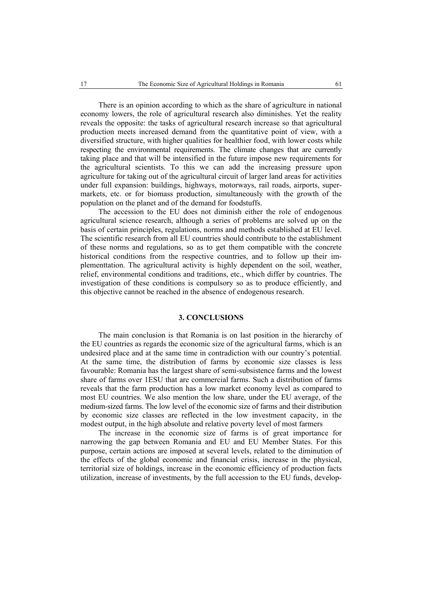There is an opinion according to which as the share of agriculture in national economy lowers, the role of agricultural research also diminishes. Yet the reality reveals the opposite: the tasks of agricultural research increase so that agricultural production meets increased demand from the quantitative point of view, with a diversified structure, with higher qualities for healthier food, with lower costs while respecting the environmental requirements. The climate changes that are currently taking place and that will be intensified in the future impose new requirements for the agricultural scientists. To this we can add the increasing pressure upon agriculture for taking out of the agricultural circuit of larger land areas for activities under full expansion: buildings, highways, motorways, rail roads, airports, supermarkets, etc. or for biomass production, simultaneously with the growth of the population on the planet and of the demand for foodstuffs.

The accession to the EU does not diminish either the role of endogenous agricultural science research, although a series of problems are solved up on the basis of certain principles, regulations, norms and methods established at EU level. The scientific research from all EU countries should contribute to the establishment of these norms and regulations, so as to get them compatible with the concrete historical conditions from the respective countries, and to follow up their implementtation. The agricultural activity is highly dependent on the soil, weather, relief, environmental conditions and traditions, etc., which differ by countries. The investigation of these conditions is compulsory so as to produce efficiently, and this objective cannot be reached in the absence of endogenous research.

## **3. CONCLUSIONS**

The main conclusion is that Romania is on last position in the hierarchy of the EU countries as regards the economic size of the agricultural farms, which is an undesired place and at the same time in contradiction with our country's potential. At the same time, the distribution of farms by economic size classes is less favourable: Romania has the largest share of semi-subsistence farms and the lowest share of farms over 1ESU that are commercial farms. Such a distribution of farms reveals that the farm production has a low market economy level as compared to most EU countries. We also mention the low share, under the EU average, of the medium-sized farms. The low level of the economic size of farms and their distribution by economic size classes are reflected in the low investment capacity, in the modest output, in the high absolute and relative poverty level of most farmers

The increase in the economic size of farms is of great importance for narrowing the gap between Romania and EU and EU Member States. For this purpose, certain actions are imposed at several levels, related to the diminution of the effects of the global economic and financial crisis, increase in the physical, territorial size of holdings, increase in the economic efficiency of production facts utilization, increase of investments, by the full accession to the EU funds, develop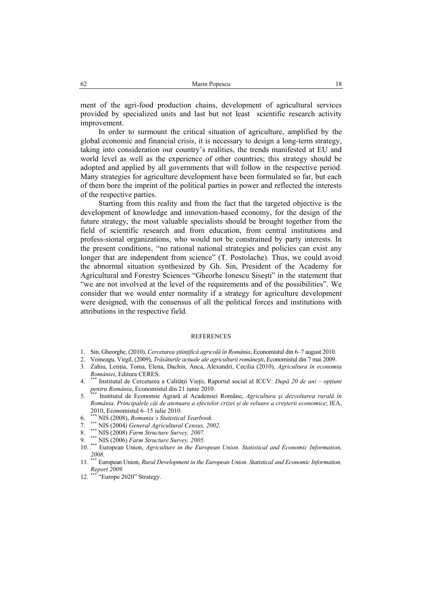ment of the agri-food production chains, development of agricultural services provided by specialized units and last but not least scientific research activity improvement.

In order to surmount the critical situation of agriculture, amplified by the global economic and financial crisis, it is necessary to design a long-term strategy, taking into consideration our country's realities, the trends manifested at EU and world level as well as the experience of other countries; this strategy should be adopted and applied by all governments that will follow in the respective period. Many strategies for agriculture development have been formulated so far, but each of them bore the imprint of the political parties in power and reflected the interests of the respective parties.

Starting from this reality and from the fact that the targeted objective is the development of knowledge and innovation-based economy, for the design of the future strategy, the most valuable specialists should be brought together from the field of scientific research and from education, from central institutions and profess-sional organizations, who would not be constrained by party interests. In the present conditions' "no rational national strategies and policies can exist any longer that are independent from science" (T. Postolache). Thus, we could avoid the abnormal situation synthesized by Gh. Sin, President of the Academy for Agricultural and Forestry Sciences "Gheorhe Ionescu Siseşti" in the statement that "we are not involved at the level of the requirements and of the possibilities". We consider that we would enter normality if a strategy for agriculture development were designed, with the consensus of all the political forces and institutions with attributions in the respective field.

#### REFERENCES

- 1. Sin, Gheorghe, (2010), *Cercetarea ştiinţifică agricolă în România*, Economistul din 6–7 august 2010.
- 2. Voineagu, Virgil, (2009), *Trăsăturile actuale ale agriculturii româneşti*, Economistul din 7 mai 2009.
- 3. Zahiu, Letiţia, Toma, Elena, Dachin, Anca, Alexandri, Cecilia (2010), *Agricultura în economia României*, Editura CERES.
- 4. \*\*\* Institutul de Cercetarea a Calităţii Vieţii, Raportul social al ICCV: *După 20 de ani opţiuni pentru România*, Economistul din 21 iunie 2010.
- 5. \*\*\* Institutul de Economie Agrară al Academiei Române, *Agricultura şi dezvoltarea rurală în România. Principalele căi de atenuare a efectelor crizei şi de reluare a creşterii economice*; IEA, 2010, Economistul 6–15 iulie 2010.
- 6. \*\*\* NIS (2008), *Romania's Statistical Yearbook.*
- 7. \*\*\* NIS (2004*) General Agricultural Census, 2002.*
- 8. \*\*\* NIS (2008) *Farm Structure Survey, 2007.*
- 9. \*\*\* NIS (2006) *Farm Structure Survey, 2005.*
- 10. \*\*\* European Union, *Agriculture in the European Union. Statistical and Economic Information, 2008.*
- 11. \*\*\* European Union, *Rural Development in the European Union. Statistical and Economic Information, Report 2009.*<br>
12. <sup>\*\*\*</sup> "Europe"
- "Europe 2020" Strategy.